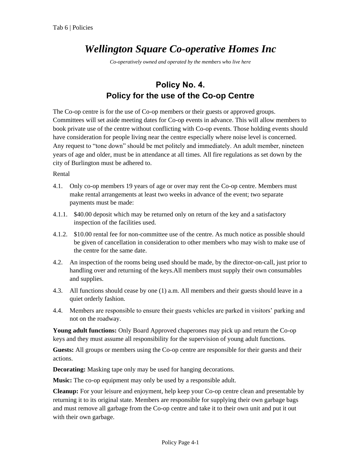## *Wellington Square Co-operative Homes Inc*

*Co-operatively owned and operated by the members who live here*

## **Policy No. 4. Policy for the use of the Co-op Centre**

The Co-op centre is for the use of Co-op members or their guests or approved groups. Committees will set aside meeting dates for Co-op events in advance. This will allow members to book private use of the centre without conflicting with Co-op events. Those holding events should have consideration for people living near the centre especially where noise level is concerned. Any request to "tone down" should be met politely and immediately. An adult member, nineteen years of age and older, must be in attendance at all times. All fire regulations as set down by the city of Burlington must be adhered to.

## Rental

- 4.1. Only co-op members 19 years of age or over may rent the Co-op centre. Members must make rental arrangements at least two weeks in advance of the event; two separate payments must be made:
- 4.1.1. \$40.00 deposit which may be returned only on return of the key and a satisfactory inspection of the facilities used.
- 4.1.2. \$10.00 rental fee for non-committee use of the centre. As much notice as possible should be given of cancellation in consideration to other members who may wish to make use of the centre for the same date.
- 4.2. An inspection of the rooms being used should be made, by the director-on-call, just prior to handling over and returning of the keys.All members must supply their own consumables and supplies.
- 4.3. All functions should cease by one (1) a.m. All members and their guests should leave in a quiet orderly fashion.
- 4.4. Members are responsible to ensure their guests vehicles are parked in visitors' parking and not on the roadway.

**Young adult functions:** Only Board Approved chaperones may pick up and return the Co-op keys and they must assume all responsibility for the supervision of young adult functions.

**Guests:** All groups or members using the Co-op centre are responsible for their guests and their actions.

**Decorating:** Masking tape only may be used for hanging decorations.

**Music:** The co-op equipment may only be used by a responsible adult.

**Cleanup:** For your leisure and enjoyment, help keep your Co-op centre clean and presentable by returning it to its original state. Members are responsible for supplying their own garbage bags and must remove all garbage from the Co-op centre and take it to their own unit and put it out with their own garbage.